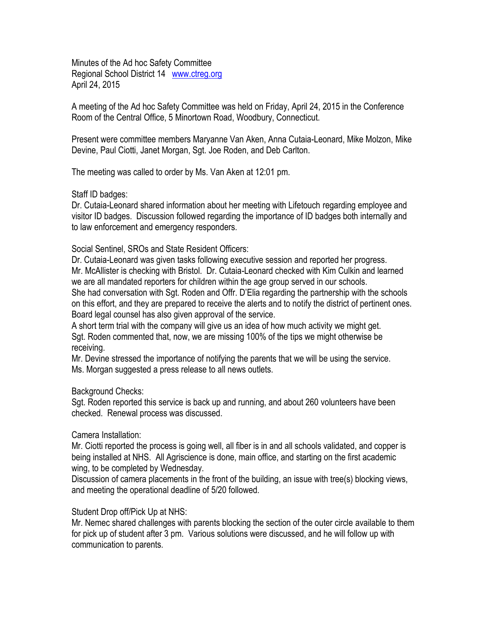Minutes of the Ad hoc Safety Committee Regional School District 14 [www.ctreg.org](http://www.ctreg.org/) April 24, 2015

A meeting of the Ad hoc Safety Committee was held on Friday, April 24, 2015 in the Conference Room of the Central Office, 5 Minortown Road, Woodbury, Connecticut.

Present were committee members Maryanne Van Aken, Anna Cutaia-Leonard, Mike Molzon, Mike Devine, Paul Ciotti, Janet Morgan, Sgt. Joe Roden, and Deb Carlton.

The meeting was called to order by Ms. Van Aken at 12:01 pm.

Staff ID badges:

Dr. Cutaia-Leonard shared information about her meeting with Lifetouch regarding employee and visitor ID badges. Discussion followed regarding the importance of ID badges both internally and to law enforcement and emergency responders.

Social Sentinel, SROs and State Resident Officers:

Dr. Cutaia-Leonard was given tasks following executive session and reported her progress. Mr. McAllister is checking with Bristol. Dr. Cutaia-Leonard checked with Kim Culkin and learned we are all mandated reporters for children within the age group served in our schools.

She had conversation with Sgt. Roden and Offr. D'Elia regarding the partnership with the schools on this effort, and they are prepared to receive the alerts and to notify the district of pertinent ones. Board legal counsel has also given approval of the service.

A short term trial with the company will give us an idea of how much activity we might get. Sgt. Roden commented that, now, we are missing 100% of the tips we might otherwise be receiving.

Mr. Devine stressed the importance of notifying the parents that we will be using the service. Ms. Morgan suggested a press release to all news outlets.

Background Checks:

Sgt. Roden reported this service is back up and running, and about 260 volunteers have been checked. Renewal process was discussed.

Camera Installation:

Mr. Ciotti reported the process is going well, all fiber is in and all schools validated, and copper is being installed at NHS. All Agriscience is done, main office, and starting on the first academic wing, to be completed by Wednesday.

Discussion of camera placements in the front of the building, an issue with tree(s) blocking views, and meeting the operational deadline of 5/20 followed.

Student Drop off/Pick Up at NHS:

Mr. Nemec shared challenges with parents blocking the section of the outer circle available to them for pick up of student after 3 pm. Various solutions were discussed, and he will follow up with communication to parents.